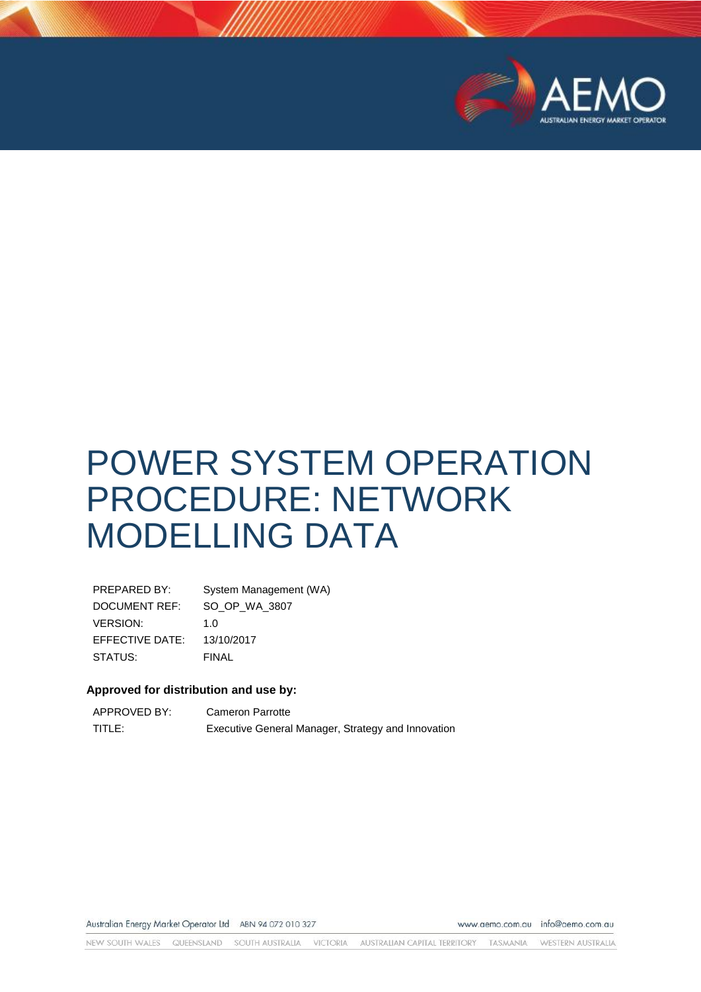

# POWER SYSTEM OPERATION PROCEDURE: NETWORK MODELLING DATA

| PREPARED BY:    | System Management (WA) |
|-----------------|------------------------|
| DOCUMENT REF:   | SO_OP_WA_3807          |
| <b>VERSION:</b> | 1. $\Omega$            |
| EFFECTIVE DATE: | 13/10/2017             |
| STATUS:         | FINAL                  |

#### **Approved for distribution and use by:**

| APPROVED BY: | Cameron Parrotte                                   |
|--------------|----------------------------------------------------|
| TITLE:       | Executive General Manager, Strategy and Innovation |

Australian Energy Market Operator Ltd ABN 94 072 010 327

www.aemo.com.au info@aemo.com.au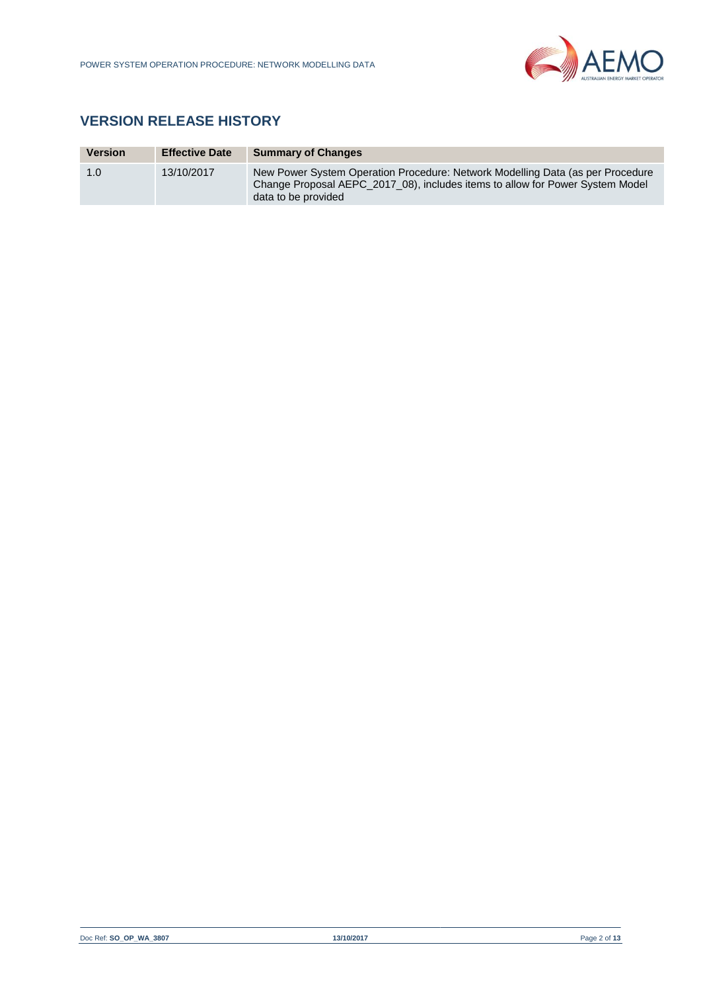

# **VERSION RELEASE HISTORY**

| <b>Version</b> | <b>Effective Date</b> | <b>Summary of Changes</b>                                                                                                                                                              |
|----------------|-----------------------|----------------------------------------------------------------------------------------------------------------------------------------------------------------------------------------|
| 1.0            | 13/10/2017            | New Power System Operation Procedure: Network Modelling Data (as per Procedure<br>Change Proposal AEPC 2017 08), includes items to allow for Power System Model<br>data to be provided |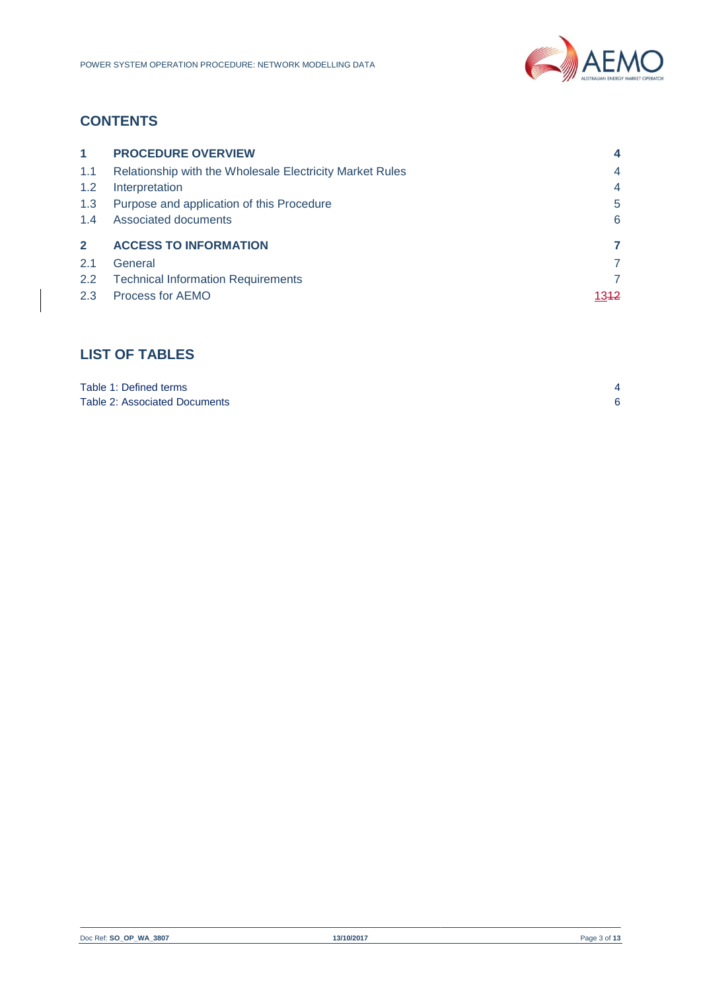

# **CONTENTS**

| $\blacktriangleleft$ | <b>PROCEDURE OVERVIEW</b>                                |                  |
|----------------------|----------------------------------------------------------|------------------|
| 1.1                  | Relationship with the Wholesale Electricity Market Rules | 4                |
| 1.2                  | Interpretation                                           | 4                |
| 1.3                  | Purpose and application of this Procedure                | 5                |
| 1.4                  | Associated documents                                     | 6                |
| $\mathbf{2}$         | <b>ACCESS TO INFORMATION</b>                             | 7                |
| 2.1                  | General                                                  | 7                |
| $2.2^{\circ}$        | <b>Technical Information Requirements</b>                | 7                |
| 2.3                  | Process for AEMO                                         | 13 <del>12</del> |

# **LIST OF TABLES**

| Table 1: Defined terms        |  |
|-------------------------------|--|
| Table 2: Associated Documents |  |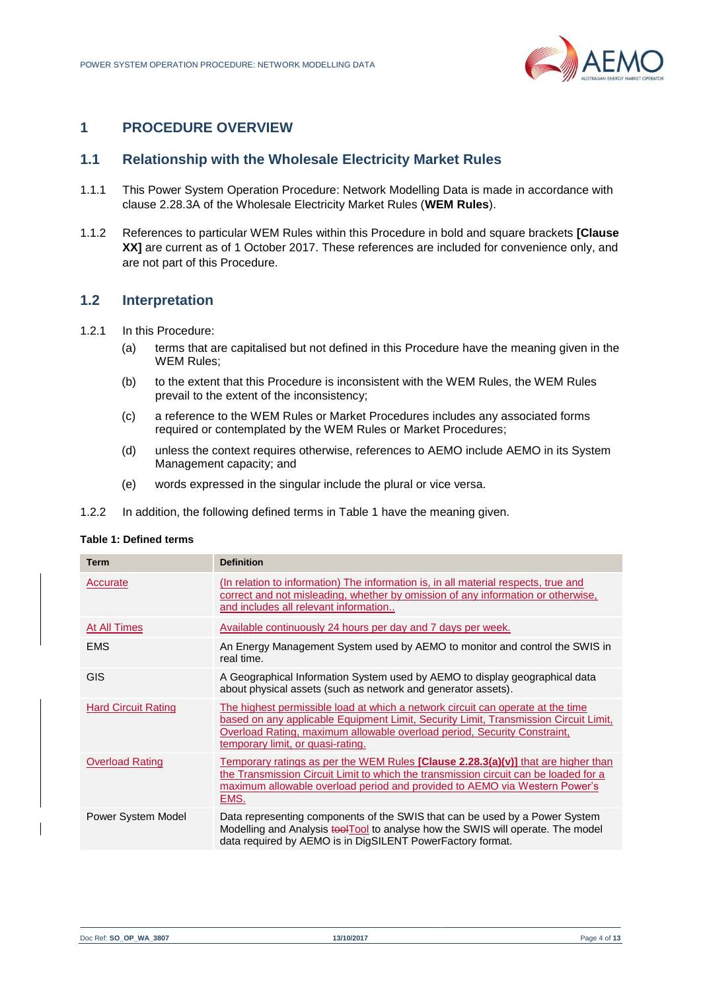

# <span id="page-3-0"></span>**1 PROCEDURE OVERVIEW**

## <span id="page-3-1"></span>**1.1 Relationship with the Wholesale Electricity Market Rules**

- 1.1.1 This Power System Operation Procedure: Network Modelling Data is made in accordance with clause 2.28.3A of the Wholesale Electricity Market Rules (**WEM Rules**).
- 1.1.2 References to particular WEM Rules within this Procedure in bold and square brackets **[Clause XX]** are current as of 1 October 2017. These references are included for convenience only, and are not part of this Procedure.

#### <span id="page-3-2"></span>**1.2 Interpretation**

- 1.2.1 In this Procedure:
	- (a) terms that are capitalised but not defined in this Procedure have the meaning given in the WEM Rules;
	- (b) to the extent that this Procedure is inconsistent with the WEM Rules, the WEM Rules prevail to the extent of the inconsistency;
	- (c) a reference to the WEM Rules or Market Procedures includes any associated forms required or contemplated by the WEM Rules or Market Procedures;
	- (d) unless the context requires otherwise, references to AEMO include AEMO in its System Management capacity; and
	- (e) words expressed in the singular include the plural or vice versa.
- 1.2.2 In addition, the following defined terms in [Table 1](#page-3-3) have the meaning given.

#### <span id="page-3-3"></span>**Table 1: Defined terms**

| <b>Term</b>                | <b>Definition</b>                                                                                                                                                                                                                                                                        |
|----------------------------|------------------------------------------------------------------------------------------------------------------------------------------------------------------------------------------------------------------------------------------------------------------------------------------|
| Accurate                   | (In relation to information) The information is, in all material respects, true and<br>correct and not misleading, whether by omission of any information or otherwise,<br>and includes all relevant information                                                                         |
| At All Times               | Available continuously 24 hours per day and 7 days per week.                                                                                                                                                                                                                             |
| <b>EMS</b>                 | An Energy Management System used by AEMO to monitor and control the SWIS in<br>real time.                                                                                                                                                                                                |
| <b>GIS</b>                 | A Geographical Information System used by AEMO to display geographical data<br>about physical assets (such as network and generator assets).                                                                                                                                             |
| <b>Hard Circuit Rating</b> | The highest permissible load at which a network circuit can operate at the time<br>based on any applicable Equipment Limit, Security Limit, Transmission Circuit Limit,<br>Overload Rating, maximum allowable overload period, Security Constraint,<br>temporary limit, or quasi-rating. |
| <b>Overload Rating</b>     | Temporary ratings as per the WEM Rules [Clause 2.28.3(a)(v)] that are higher than<br>the Transmission Circuit Limit to which the transmission circuit can be loaded for a<br>maximum allowable overload period and provided to AEMO via Western Power's<br>EMS.                          |
| Power System Model         | Data representing components of the SWIS that can be used by a Power System<br>Modelling and Analysis tool Tool to analyse how the SWIS will operate. The model<br>data required by AEMO is in DigSILENT PowerFactory format.                                                            |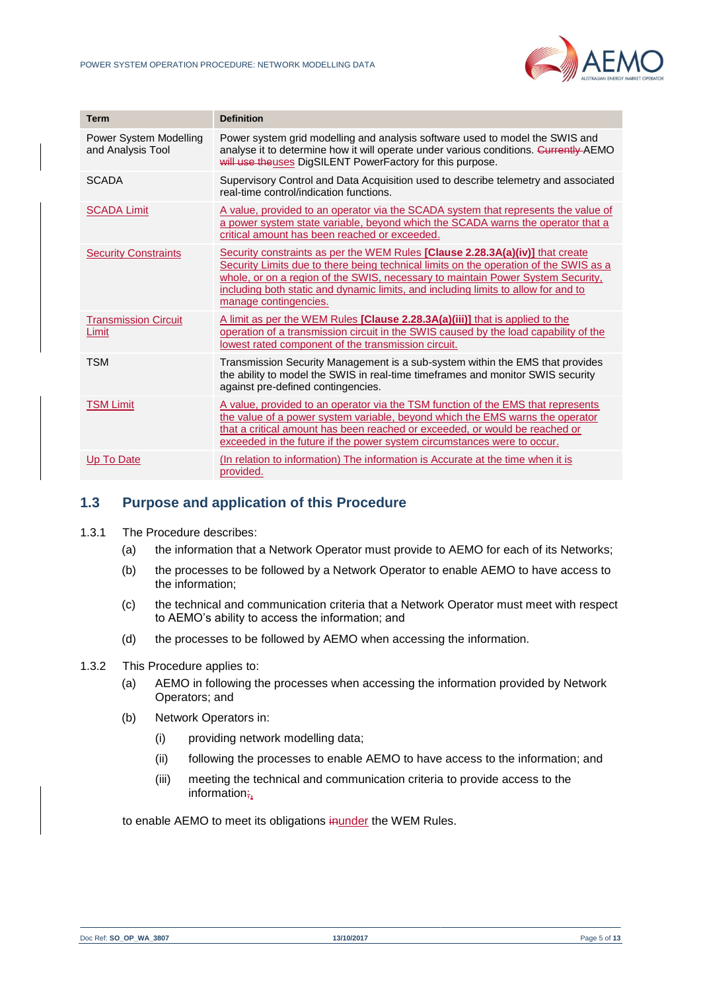

| <b>Term</b>                                 | <b>Definition</b>                                                                                                                                                                                                                                                                                                                                                        |
|---------------------------------------------|--------------------------------------------------------------------------------------------------------------------------------------------------------------------------------------------------------------------------------------------------------------------------------------------------------------------------------------------------------------------------|
| Power System Modelling<br>and Analysis Tool | Power system grid modelling and analysis software used to model the SWIS and<br>analyse it to determine how it will operate under various conditions. Currently AEMO<br>will use the uses DigSILENT PowerFactory for this purpose.                                                                                                                                       |
| <b>SCADA</b>                                | Supervisory Control and Data Acquisition used to describe telemetry and associated<br>real-time control/indication functions.                                                                                                                                                                                                                                            |
| <b>SCADA Limit</b>                          | A value, provided to an operator via the SCADA system that represents the value of<br>a power system state variable, beyond which the SCADA warns the operator that a<br>critical amount has been reached or exceeded.                                                                                                                                                   |
| <b>Security Constraints</b>                 | Security constraints as per the WEM Rules [Clause 2.28.3A(a)(iv)] that create<br>Security Limits due to there being technical limits on the operation of the SWIS as a<br>whole, or on a region of the SWIS, necessary to maintain Power System Security,<br>including both static and dynamic limits, and including limits to allow for and to<br>manage contingencies. |
| <b>Transmission Circuit</b><br>Limit        | A limit as per the WEM Rules [Clause 2.28.3A(a)(iii)] that is applied to the<br>operation of a transmission circuit in the SWIS caused by the load capability of the<br>lowest rated component of the transmission circuit.                                                                                                                                              |
| <b>TSM</b>                                  | Transmission Security Management is a sub-system within the EMS that provides<br>the ability to model the SWIS in real-time timeframes and monitor SWIS security<br>against pre-defined contingencies.                                                                                                                                                                   |
| <b>TSM Limit</b>                            | A value, provided to an operator via the TSM function of the EMS that represents<br>the value of a power system variable, beyond which the EMS warns the operator<br>that a critical amount has been reached or exceeded, or would be reached or<br>exceeded in the future if the power system circumstances were to occur.                                              |
| Up To Date                                  | (In relation to information) The information is Accurate at the time when it is<br>provided.                                                                                                                                                                                                                                                                             |

## <span id="page-4-0"></span>**1.3 Purpose and application of this Procedure**

- 1.3.1 The Procedure describes:
	- (a) the information that a Network Operator must provide to AEMO for each of its Networks;
	- (b) the processes to be followed by a Network Operator to enable AEMO to have access to the information;
	- (c) the technical and communication criteria that a Network Operator must meet with respect to AEMO's ability to access the information; and
	- (d) the processes to be followed by AEMO when accessing the information.
- 1.3.2 This Procedure applies to:
	- (a) AEMO in following the processes when accessing the information provided by Network Operators; and
	- (b) Network Operators in:
		- (i) providing network modelling data;
		- (ii) following the processes to enable AEMO to have access to the information; and
		- (iii) meeting the technical and communication criteria to provide access to the information;,

to enable AEMO to meet its obligations inunder the WEM Rules.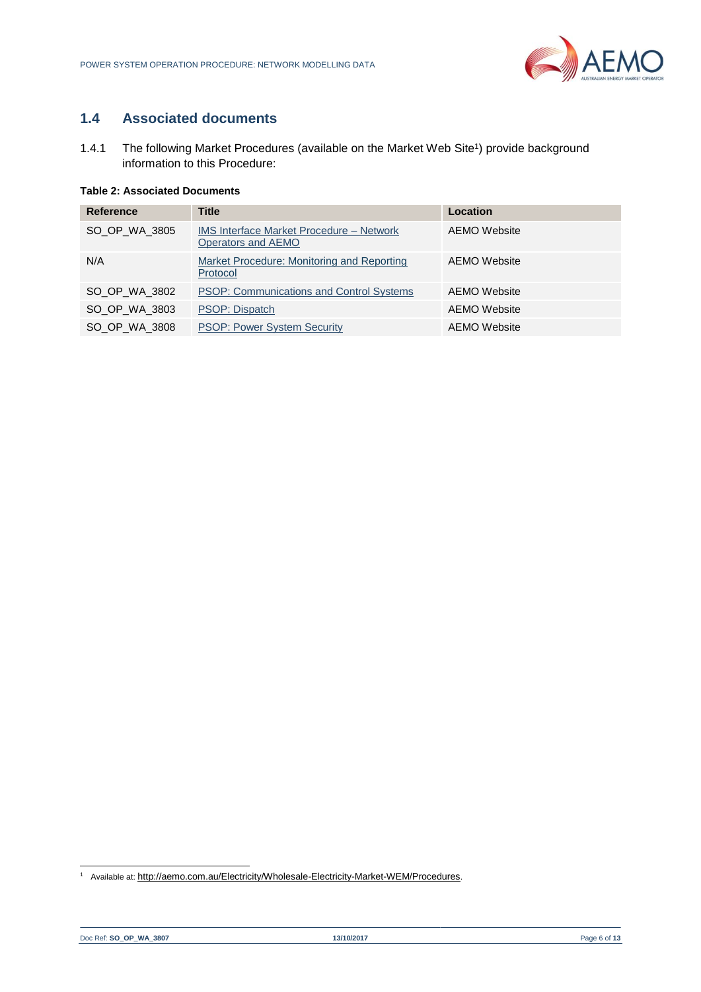# <span id="page-5-0"></span>**1.4 Associated documents**

1.4.1 The following Market Procedures (available on the Market Web Site<sup>1</sup>) provide background information to this Procedure:

#### <span id="page-5-1"></span>**Table 2: Associated Documents**

| <b>Reference</b> | <b>Title</b>                                                          | Location     |
|------------------|-----------------------------------------------------------------------|--------------|
| SO OP WA 3805    | <b>IMS Interface Market Procedure – Network</b><br>Operators and AEMO | AEMO Website |
| N/A              | Market Procedure: Monitoring and Reporting<br>Protocol                | AEMO Website |
| SO OP WA 3802    | <b>PSOP: Communications and Control Systems</b>                       | AEMO Website |
| SO OP WA 3803    | PSOP: Dispatch                                                        | AEMO Website |
| SO OP WA 3808    | <b>PSOP: Power System Security</b>                                    | AEMO Website |

l

<sup>&</sup>lt;sup>1</sup> Available at: <http://aemo.com.au/Electricity/Wholesale-Electricity-Market-WEM/Procedures>.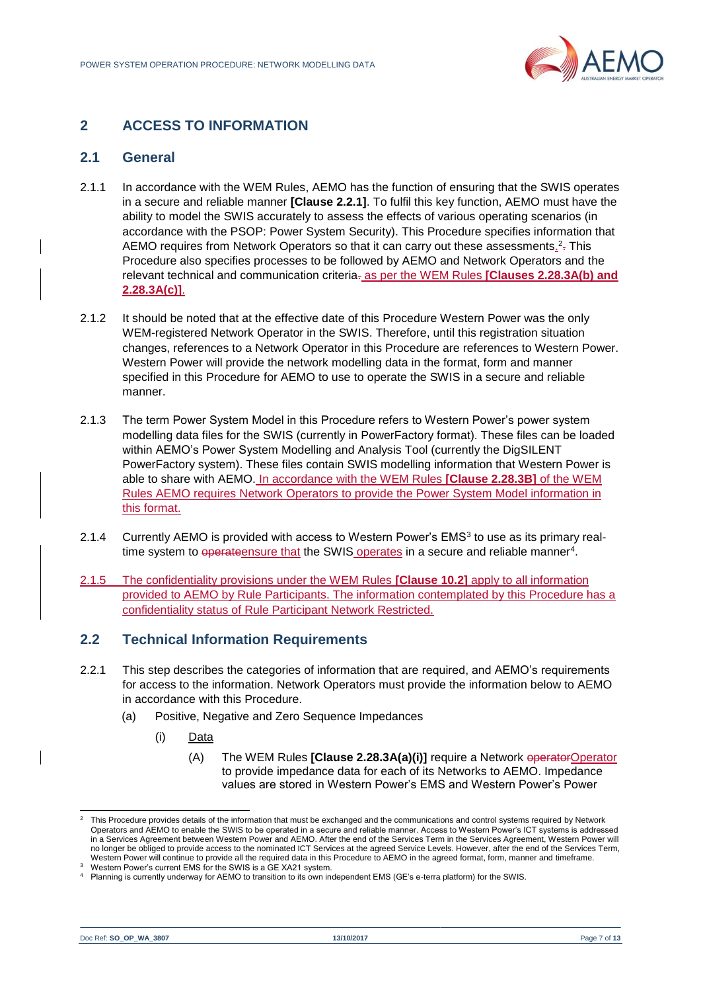

## <span id="page-6-0"></span>**2 ACCESS TO INFORMATION**

#### <span id="page-6-1"></span>**2.1 General**

- 2.1.1 In accordance with the WEM Rules, AEMO has the function of ensuring that the SWIS operates in a secure and reliable manner **[Clause 2.2.1]**. To fulfil this key function, AEMO must have the ability to model the SWIS accurately to assess the effects of various operating scenarios (in accordance with the PSOP: Power System Security). This Procedure specifies information that AEMO requires from Network Operators so that it can carry out these assessments.<sup>2</sup>-This Procedure also specifies processes to be followed by AEMO and Network Operators and the relevant technical and communication criteria. as per the WEM Rules **[Clauses 2.28.3A(b) and 2.28.3A(c)]**.
- 2.1.2 It should be noted that at the effective date of this Procedure Western Power was the only WEM-registered Network Operator in the SWIS. Therefore, until this registration situation changes, references to a Network Operator in this Procedure are references to Western Power. Western Power will provide the network modelling data in the format, form and manner specified in this Procedure for AEMO to use to operate the SWIS in a secure and reliable manner.
- 2.1.3 The term Power System Model in this Procedure refers to Western Power's power system modelling data files for the SWIS (currently in PowerFactory format). These files can be loaded within AEMO's Power System Modelling and Analysis Tool (currently the DigSILENT PowerFactory system). These files contain SWIS modelling information that Western Power is able to share with AEMO. In accordance with the WEM Rules **[Clause 2.28.3B]** of the WEM Rules AEMO requires Network Operators to provide the Power System Model information in this format.
- 2.1.4 Currently AEMO is provided with access to Western Power's EMS<sup>3</sup> to use as its primary realtime system to <del>operate</del>nsure that the SWIS operates in a secure and reliable manner<sup>4</sup>.
- 2.1.5 The confidentiality provisions under the WEM Rules **[Clause 10.2]** apply to all information provided to AEMO by Rule Participants. The information contemplated by this Procedure has a confidentiality status of Rule Participant Network Restricted.

#### <span id="page-6-2"></span>**2.2 Technical Information Requirements**

- <span id="page-6-3"></span>2.2.1 This step describes the categories of information that are required, and AEMO's requirements for access to the information. Network Operators must provide the information below to AEMO in accordance with this Procedure.
	- (a) Positive, Negative and Zero Sequence Impedances
		- (i) Data
			- (A) The WEM Rules **[Clause 2.28.3A(a)(i)]** require a Network operator Operator to provide impedance data for each of its Networks to AEMO. Impedance values are stored in Western Power's EMS and Western Power's Power

l

<sup>2</sup> This Procedure provides details of the information that must be exchanged and the communications and control systems required by Network Operators and AEMO to enable the SWIS to be operated in a secure and reliable manner. Access to Western Power's ICT systems is addressed in a Services Agreement between Western Power and AEMO. After the end of the Services Term in the Services Agreement, Western Power will no longer be obliged to provide access to the nominated ICT Services at the agreed Service Levels. However, after the end of the Services Term, Western Power will continue to provide all the required data in this Procedure to AEMO in the agreed format, form, manner and timeframe.

<sup>3</sup> Western Power's current EMS for the SWIS is a GE XA21 system.

<sup>4</sup> Planning is currently underway for AEMO to transition to its own independent EMS (GE's e-terra platform) for the SWIS.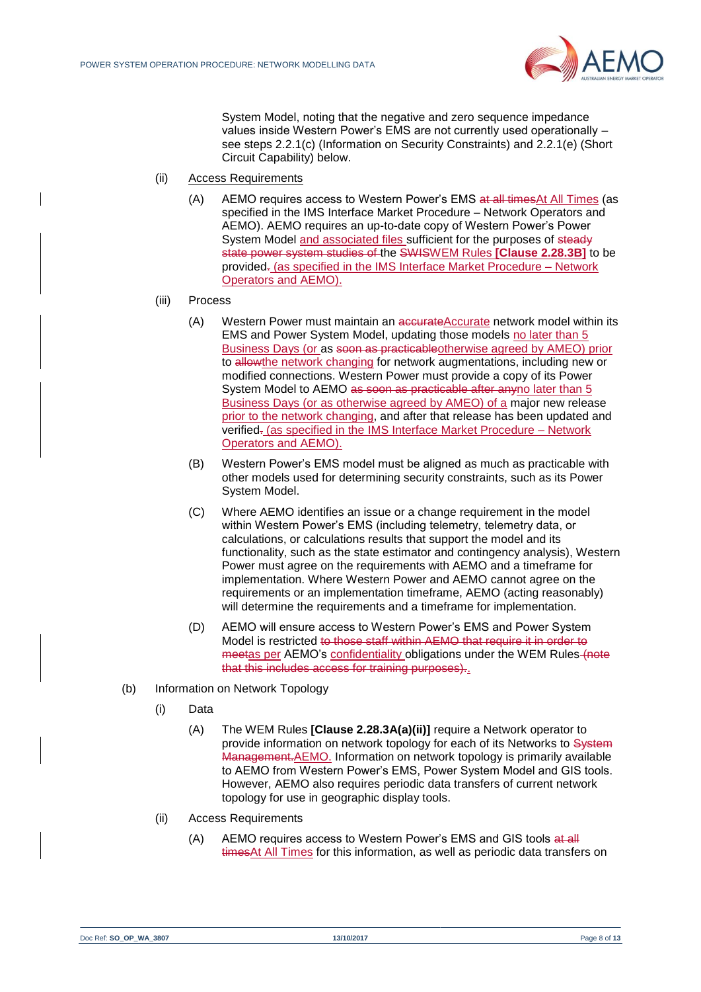

System Model, noting that the negative and zero sequence impedance values inside Western Power's EMS are not currently used operationally – see steps [2.2.1\(c\)](#page-6-3) (Information on Security Constraints) and [2.2.1\(e\)](#page-6-3) (Short Circuit Capability) below.

- (ii) Access Requirements
	- (A) AEMO requires access to Western Power's EMS at all timesAt All Times (as specified in the IMS Interface Market Procedure – Network Operators and AEMO). AEMO requires an up-to-date copy of Western Power's Power System Model and associated files sufficient for the purposes of steady state power system studies of the SWISWEM Rules **[Clause 2.28.3B]** to be provided. (as specified in the IMS Interface Market Procedure – Network Operators and AEMO).

#### (iii) Process

- (A) Western Power must maintain an accurateAccurate network model within its EMS and Power System Model, updating those models no later than 5 Business Days (or as soon as practicableotherwise agreed by AMEO) prior to allowthe network changing for network augmentations, including new or modified connections. Western Power must provide a copy of its Power System Model to AEMO as soon as practicable after anyno later than 5 Business Days (or as otherwise agreed by AMEO) of a major new release prior to the network changing, and after that release has been updated and verified. (as specified in the IMS Interface Market Procedure – Network Operators and AEMO).
- (B) Western Power's EMS model must be aligned as much as practicable with other models used for determining security constraints, such as its Power System Model.
- (C) Where AEMO identifies an issue or a change requirement in the model within Western Power's EMS (including telemetry, telemetry data, or calculations, or calculations results that support the model and its functionality, such as the state estimator and contingency analysis), Western Power must agree on the requirements with AEMO and a timeframe for implementation. Where Western Power and AEMO cannot agree on the requirements or an implementation timeframe, AEMO (acting reasonably) will determine the requirements and a timeframe for implementation.
- (D) AEMO will ensure access to Western Power's EMS and Power System Model is restricted to those staff within AEMO that require it in order to meetas per AEMO's confidentiality obligations under the WEM Rules (note that this includes access for training purposes).
- (b) Information on Network Topology
	- (i) Data
		- (A) The WEM Rules **[Clause 2.28.3A(a)(ii)]** require a Network operator to provide information on network topology for each of its Networks to System Management.AEMO. Information on network topology is primarily available to AEMO from Western Power's EMS, Power System Model and GIS tools. However, AEMO also requires periodic data transfers of current network topology for use in geographic display tools.
	- (ii) Access Requirements
		- (A) AEMO requires access to Western Power's EMS and GIS tools at all timesAt All Times for this information, as well as periodic data transfers on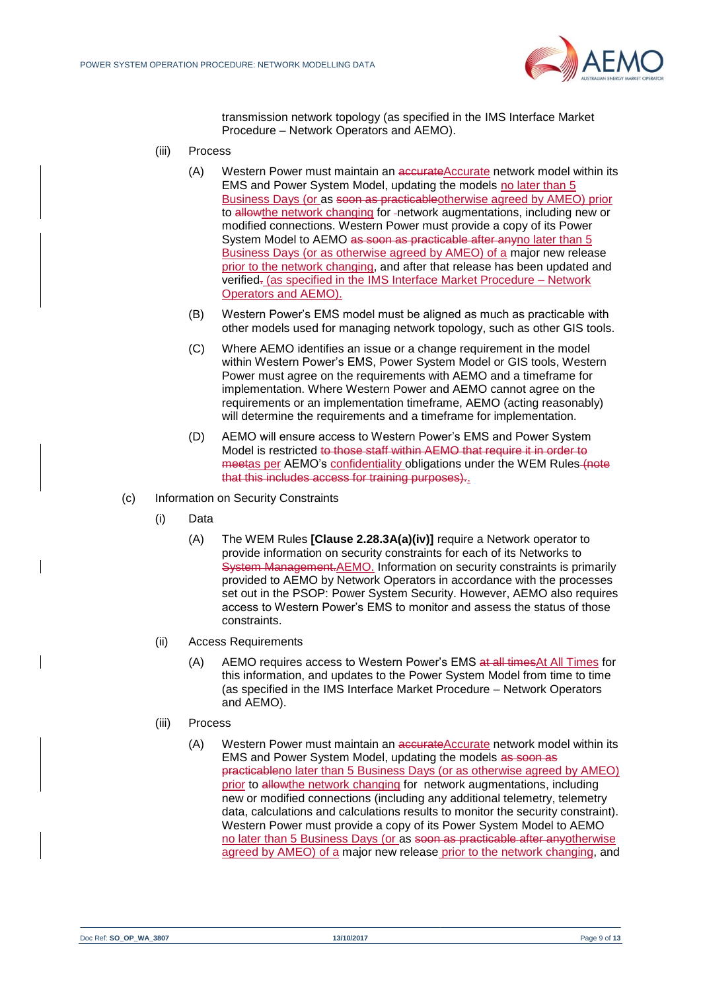

transmission network topology (as specified in the IMS Interface Market Procedure – Network Operators and AEMO).

- (iii) Process
	- (A) Western Power must maintain an accurateAccurate network model within its EMS and Power System Model, updating the models no later than 5 Business Days (or as soon as practicableotherwise agreed by AMEO) prior to allowthe network changing for -network augmentations, including new or modified connections. Western Power must provide a copy of its Power System Model to AEMO as soon as practicable after anyno later than 5 Business Days (or as otherwise agreed by AMEO) of a major new release prior to the network changing, and after that release has been updated and verified. (as specified in the IMS Interface Market Procedure – Network Operators and AEMO).
	- (B) Western Power's EMS model must be aligned as much as practicable with other models used for managing network topology, such as other GIS tools.
	- (C) Where AEMO identifies an issue or a change requirement in the model within Western Power's EMS, Power System Model or GIS tools, Western Power must agree on the requirements with AEMO and a timeframe for implementation. Where Western Power and AEMO cannot agree on the requirements or an implementation timeframe, AEMO (acting reasonably) will determine the requirements and a timeframe for implementation.
	- (D) AEMO will ensure access to Western Power's EMS and Power System Model is restricted to those staff within AEMO that require it in order to meetas per AEMO's confidentiality obligations under the WEM Rules (note that this includes access for training purposes)..
- (c) Information on Security Constraints
	- (i) Data
		- (A) The WEM Rules **[Clause 2.28.3A(a)(iv)]** require a Network operator to provide information on security constraints for each of its Networks to System Management.AEMO. Information on security constraints is primarily provided to AEMO by Network Operators in accordance with the processes set out in the PSOP: Power System Security. However, AEMO also requires access to Western Power's EMS to monitor and assess the status of those constraints.
	- (ii) Access Requirements
		- (A) AEMO requires access to Western Power's EMS at all timesAt All Times for this information, and updates to the Power System Model from time to time (as specified in the IMS Interface Market Procedure – Network Operators and AEMO).
	- (iii) Process
		- (A) Western Power must maintain an accurateAccurate network model within its EMS and Power System Model, updating the models as soon as practicableno later than 5 Business Days (or as otherwise agreed by AMEO) prior to allowthe network changing for network augmentations, including new or modified connections (including any additional telemetry, telemetry data, calculations and calculations results to monitor the security constraint). Western Power must provide a copy of its Power System Model to AEMO no later than 5 Business Days (or as soon as practicable after anyotherwise agreed by AMEO) of a major new release prior to the network changing, and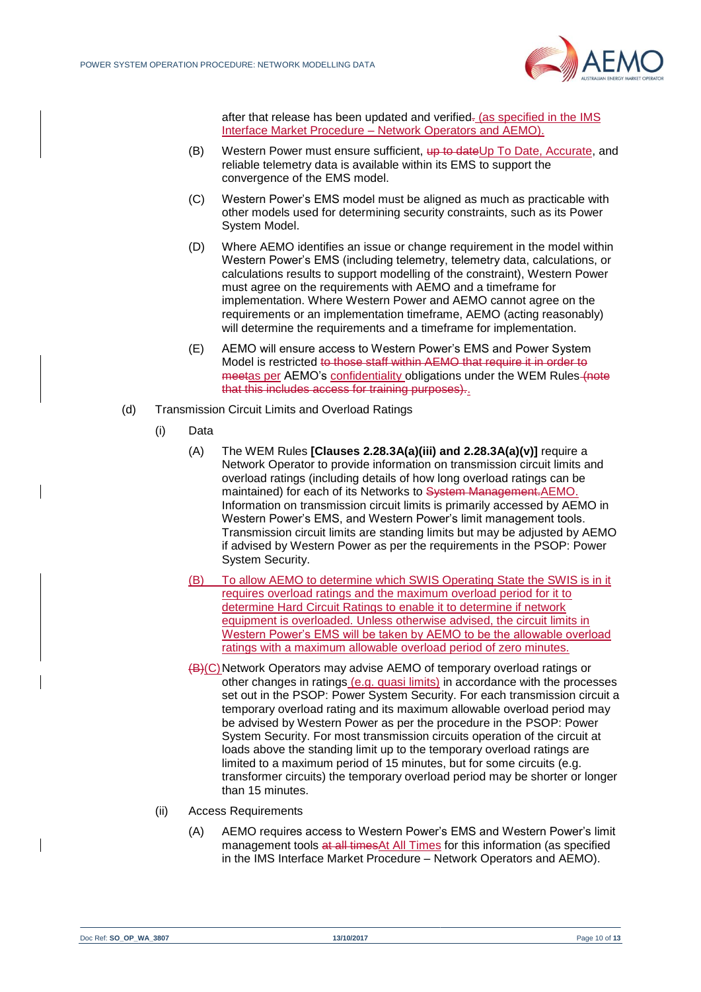

after that release has been updated and verified- (as specified in the IMS Interface Market Procedure – Network Operators and AEMO).

- (B) Western Power must ensure sufficient, up to dateUp To Date, Accurate, and reliable telemetry data is available within its EMS to support the convergence of the EMS model.
- (C) Western Power's EMS model must be aligned as much as practicable with other models used for determining security constraints, such as its Power System Model.
- (D) Where AEMO identifies an issue or change requirement in the model within Western Power's EMS (including telemetry, telemetry data, calculations, or calculations results to support modelling of the constraint), Western Power must agree on the requirements with AEMO and a timeframe for implementation. Where Western Power and AEMO cannot agree on the requirements or an implementation timeframe, AEMO (acting reasonably) will determine the requirements and a timeframe for implementation.
- (E) AEMO will ensure access to Western Power's EMS and Power System Model is restricted to those staff within AEMO that require it in order to meetas per AEMO's confidentiality obligations under the WEM Rules (note that this includes access for training purposes)..
- (d) Transmission Circuit Limits and Overload Ratings
	- (i) Data
		- (A) The WEM Rules **[Clauses 2.28.3A(a)(iii) and 2.28.3A(a)(v)]** require a Network Operator to provide information on transmission circuit limits and overload ratings (including details of how long overload ratings can be maintained) for each of its Networks to System Management.AEMO. Information on transmission circuit limits is primarily accessed by AEMO in Western Power's EMS, and Western Power's limit management tools. Transmission circuit limits are standing limits but may be adjusted by AEMO if advised by Western Power as per the requirements in the PSOP: Power System Security.
		- (B) To allow AEMO to determine which SWIS Operating State the SWIS is in it requires overload ratings and the maximum overload period for it to determine Hard Circuit Ratings to enable it to determine if network equipment is overloaded. Unless otherwise advised, the circuit limits in Western Power's EMS will be taken by AEMO to be the allowable overload ratings with a maximum allowable overload period of zero minutes.
		- (B)(C)Network Operators may advise AEMO of temporary overload ratings or other changes in ratings (e.g. quasi limits) in accordance with the processes set out in the PSOP: Power System Security. For each transmission circuit a temporary overload rating and its maximum allowable overload period may be advised by Western Power as per the procedure in the PSOP: Power System Security. For most transmission circuits operation of the circuit at loads above the standing limit up to the temporary overload ratings are limited to a maximum period of 15 minutes, but for some circuits (e.g. transformer circuits) the temporary overload period may be shorter or longer than 15 minutes.
	- (ii) Access Requirements
		- (A) AEMO requires access to Western Power's EMS and Western Power's limit management tools at all timesAt All Times for this information (as specified in the IMS Interface Market Procedure – Network Operators and AEMO).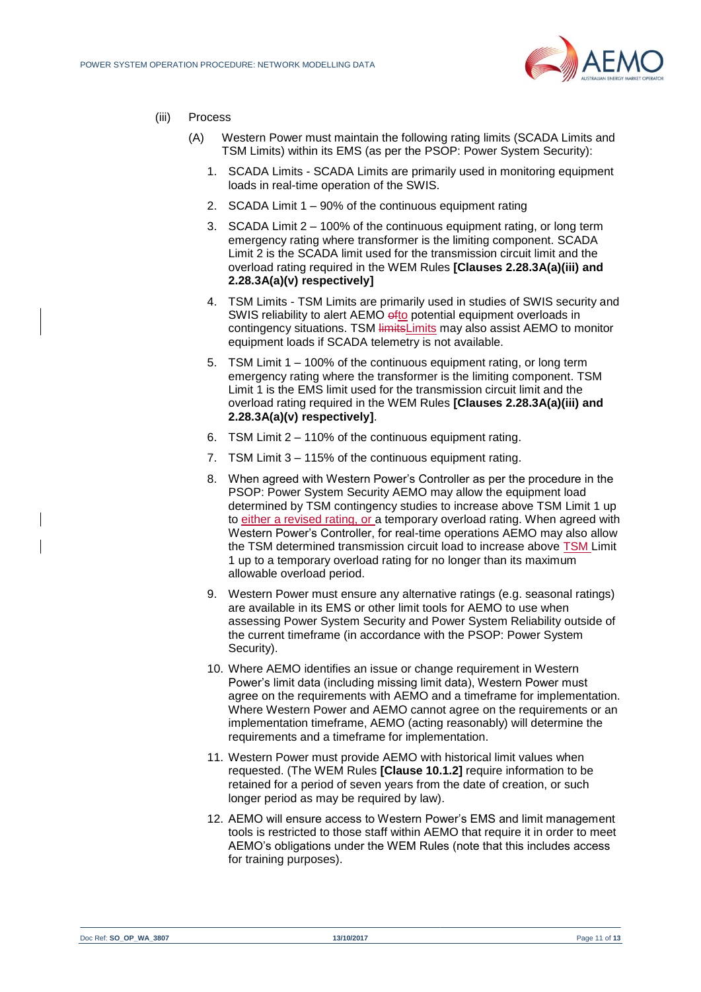

- (iii) Process
	- (A) Western Power must maintain the following rating limits (SCADA Limits and TSM Limits) within its EMS (as per the PSOP: Power System Security):
		- 1. SCADA Limits SCADA Limits are primarily used in monitoring equipment loads in real-time operation of the SWIS.
		- 2. SCADA Limit 1 90% of the continuous equipment rating
		- 3. SCADA Limit 2 100% of the continuous equipment rating, or long term emergency rating where transformer is the limiting component. SCADA Limit 2 is the SCADA limit used for the transmission circuit limit and the overload rating required in the WEM Rules **[Clauses 2.28.3A(a)(iii) and 2.28.3A(a)(v) respectively]**
		- 4. TSM Limits TSM Limits are primarily used in studies of SWIS security and SWIS reliability to alert AEMO ofto potential equipment overloads in contingency situations. TSM limitsLimits may also assist AEMO to monitor equipment loads if SCADA telemetry is not available.
		- 5. TSM Limit 1 100% of the continuous equipment rating, or long term emergency rating where the transformer is the limiting component. TSM Limit 1 is the EMS limit used for the transmission circuit limit and the overload rating required in the WEM Rules **[Clauses 2.28.3A(a)(iii) and 2.28.3A(a)(v) respectively]**.
		- 6. TSM Limit 2 110% of the continuous equipment rating.
		- 7. TSM Limit 3 115% of the continuous equipment rating.
		- 8. When agreed with Western Power's Controller as per the procedure in the PSOP: Power System Security AEMO may allow the equipment load determined by TSM contingency studies to increase above TSM Limit 1 up to either a revised rating, or a temporary overload rating. When agreed with Western Power's Controller, for real-time operations AEMO may also allow the TSM determined transmission circuit load to increase above TSM Limit 1 up to a temporary overload rating for no longer than its maximum allowable overload period.
		- 9. Western Power must ensure any alternative ratings (e.g. seasonal ratings) are available in its EMS or other limit tools for AEMO to use when assessing Power System Security and Power System Reliability outside of the current timeframe (in accordance with the PSOP: Power System Security).
		- 10. Where AEMO identifies an issue or change requirement in Western Power's limit data (including missing limit data), Western Power must agree on the requirements with AEMO and a timeframe for implementation. Where Western Power and AEMO cannot agree on the requirements or an implementation timeframe, AEMO (acting reasonably) will determine the requirements and a timeframe for implementation.
		- 11. Western Power must provide AEMO with historical limit values when requested. (The WEM Rules **[Clause 10.1.2]** require information to be retained for a period of seven years from the date of creation, or such longer period as may be required by law).
		- 12. AEMO will ensure access to Western Power's EMS and limit management tools is restricted to those staff within AEMO that require it in order to meet AEMO's obligations under the WEM Rules (note that this includes access for training purposes).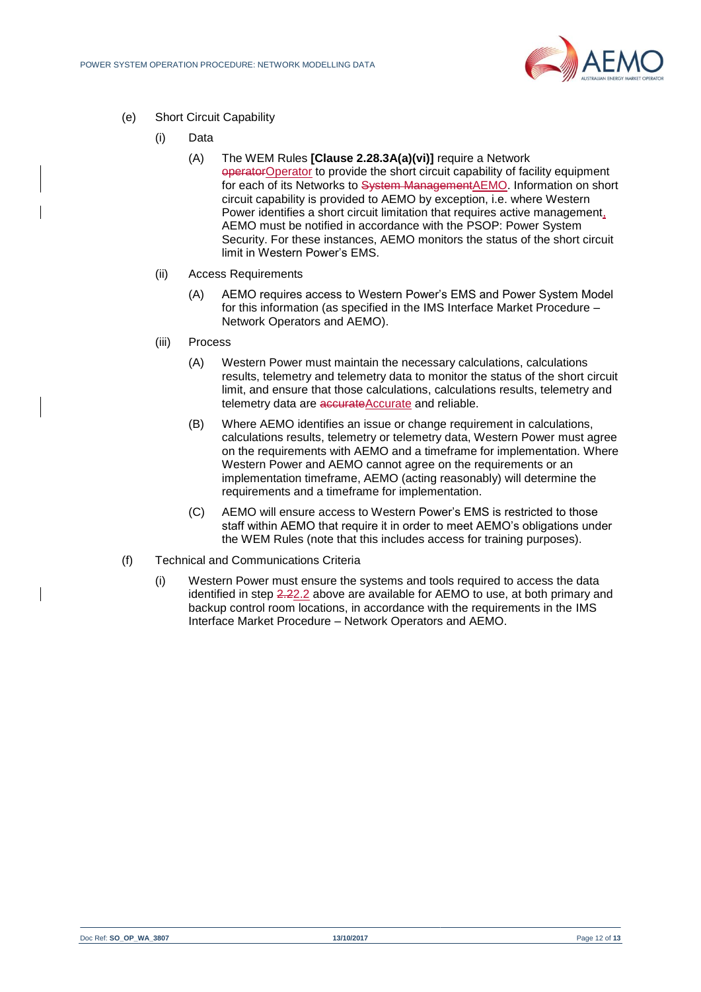

- (e) Short Circuit Capability
	- (i) Data
		- (A) The WEM Rules **[Clause 2.28.3A(a)(vi)]** require a Network operatorOperator to provide the short circuit capability of facility equipment for each of its Networks to System ManagementAEMO. Information on short circuit capability is provided to AEMO by exception, i.e. where Western Power identifies a short circuit limitation that requires active management, AEMO must be notified in accordance with the PSOP: Power System Security. For these instances, AEMO monitors the status of the short circuit limit in Western Power's EMS.
	- (ii) Access Requirements
		- (A) AEMO requires access to Western Power's EMS and Power System Model for this information (as specified in the IMS Interface Market Procedure – Network Operators and AEMO).
	- (iii) Process
		- (A) Western Power must maintain the necessary calculations, calculations results, telemetry and telemetry data to monitor the status of the short circuit limit, and ensure that those calculations, calculations results, telemetry and telemetry data are accurateAccurate and reliable.
		- (B) Where AEMO identifies an issue or change requirement in calculations, calculations results, telemetry or telemetry data, Western Power must agree on the requirements with AEMO and a timeframe for implementation. Where Western Power and AEMO cannot agree on the requirements or an implementation timeframe, AEMO (acting reasonably) will determine the requirements and a timeframe for implementation.
		- (C) AEMO will ensure access to Western Power's EMS is restricted to those staff within AEMO that require it in order to meet AEMO's obligations under the WEM Rules (note that this includes access for training purposes).
- (f) Technical and Communications Criteria
	- (i) Western Power must ensure the systems and tools required to access the data identified in step [2.22.2](#page-6-2) above are available for AEMO to use, at both primary and backup control room locations, in accordance with the requirements in the IMS Interface Market Procedure – Network Operators and AEMO.